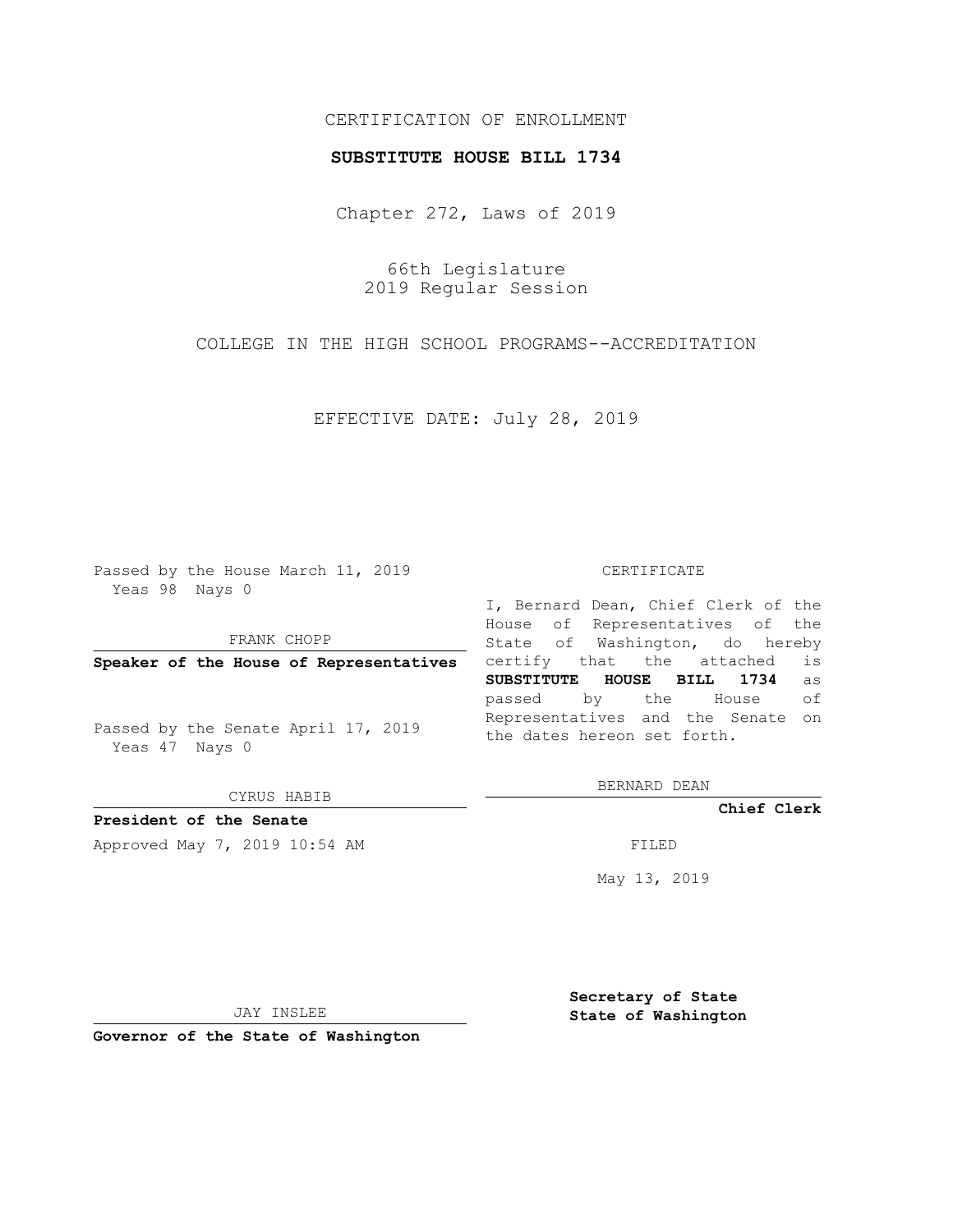## CERTIFICATION OF ENROLLMENT

## **SUBSTITUTE HOUSE BILL 1734**

Chapter 272, Laws of 2019

66th Legislature 2019 Regular Session

COLLEGE IN THE HIGH SCHOOL PROGRAMS--ACCREDITATION

EFFECTIVE DATE: July 28, 2019

Passed by the House March 11, 2019 Yeas 98 Nays 0

FRANK CHOPP

**Speaker of the House of Representatives**

Passed by the Senate April 17, 2019 Yeas 47 Nays 0

CYRUS HABIB

**President of the Senate**

Approved May 7, 2019 10:54 AM FILED

## CERTIFICATE

I, Bernard Dean, Chief Clerk of the House of Representatives of the State of Washington, do hereby certify that the attached is **SUBSTITUTE HOUSE BILL 1734** as passed by the House of Representatives and the Senate on the dates hereon set forth.

BERNARD DEAN

**Chief Clerk**

May 13, 2019

JAY INSLEE

**Governor of the State of Washington**

**Secretary of State State of Washington**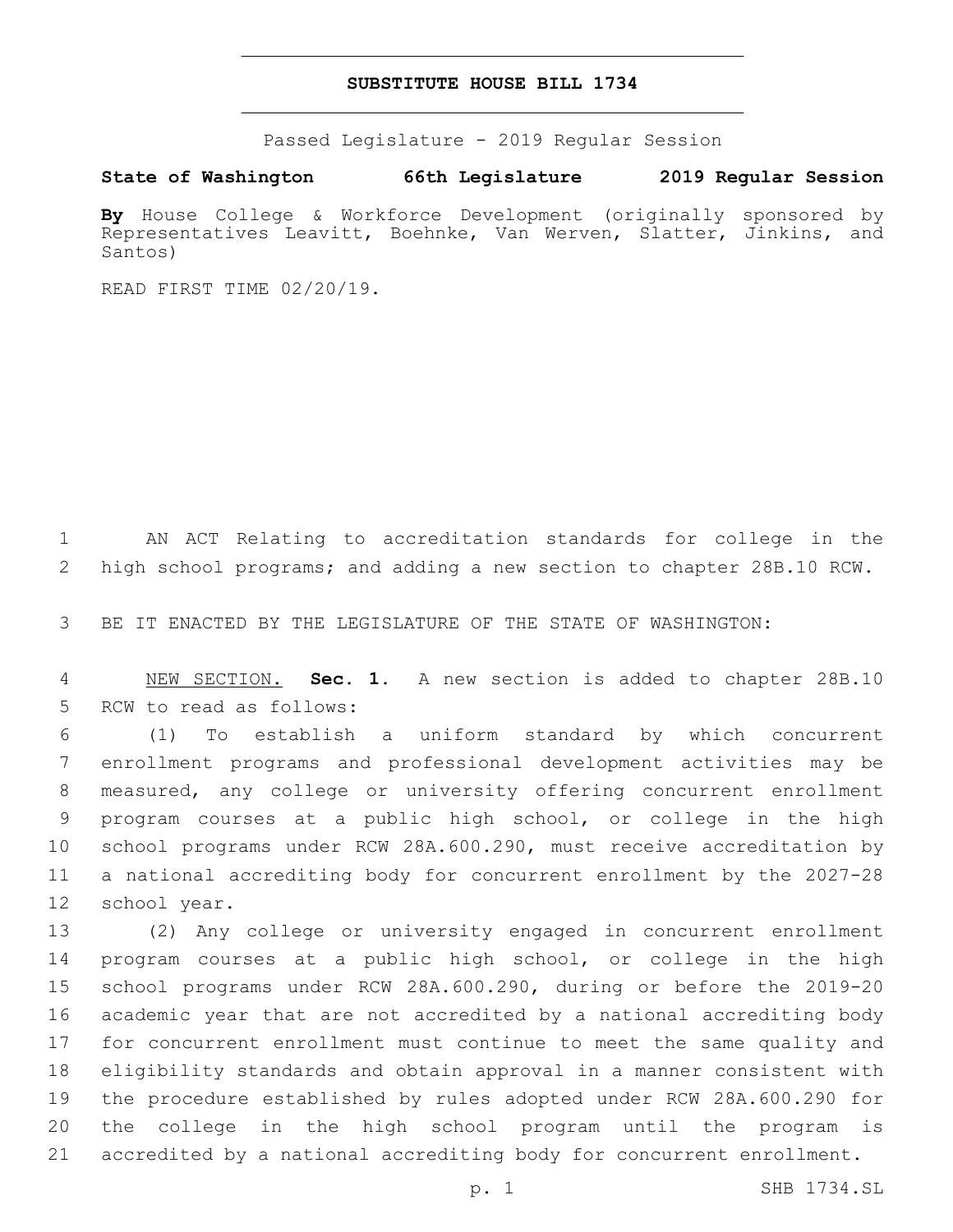## **SUBSTITUTE HOUSE BILL 1734**

Passed Legislature - 2019 Regular Session

**State of Washington 66th Legislature 2019 Regular Session**

**By** House College & Workforce Development (originally sponsored by Representatives Leavitt, Boehnke, Van Werven, Slatter, Jinkins, and Santos)

READ FIRST TIME 02/20/19.

 AN ACT Relating to accreditation standards for college in the high school programs; and adding a new section to chapter 28B.10 RCW.

BE IT ENACTED BY THE LEGISLATURE OF THE STATE OF WASHINGTON:

 NEW SECTION. **Sec. 1.** A new section is added to chapter 28B.10 5 RCW to read as follows:

 (1) To establish a uniform standard by which concurrent enrollment programs and professional development activities may be measured, any college or university offering concurrent enrollment program courses at a public high school, or college in the high school programs under RCW 28A.600.290, must receive accreditation by a national accrediting body for concurrent enrollment by the 2027-28 12 school year.

 (2) Any college or university engaged in concurrent enrollment program courses at a public high school, or college in the high school programs under RCW 28A.600.290, during or before the 2019-20 academic year that are not accredited by a national accrediting body for concurrent enrollment must continue to meet the same quality and eligibility standards and obtain approval in a manner consistent with the procedure established by rules adopted under RCW 28A.600.290 for the college in the high school program until the program is accredited by a national accrediting body for concurrent enrollment.